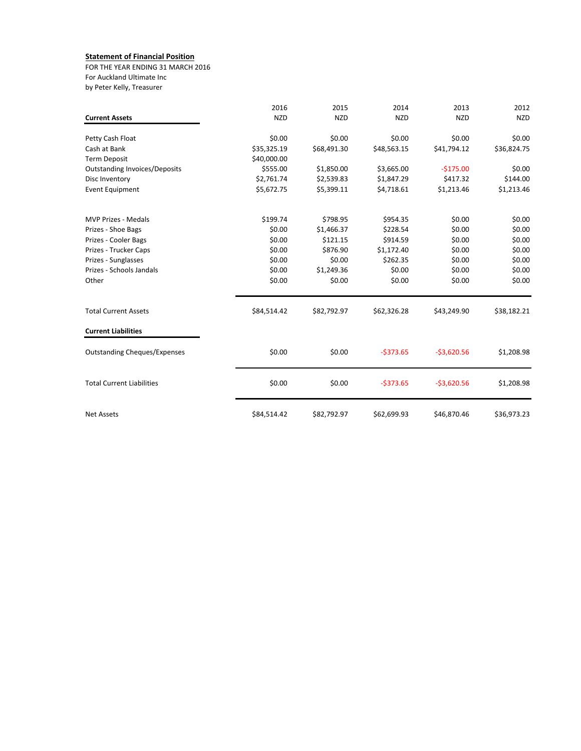## **Statement of Financial Position**

FOR THE YEAR ENDING 31 MARCH 2016 For Auckland Ultimate Inc by Peter Kelly, Treasurer

|                                      | 2016        | 2015        | 2014        | 2013         | 2012        |
|--------------------------------------|-------------|-------------|-------------|--------------|-------------|
| <b>Current Assets</b>                | <b>NZD</b>  | <b>NZD</b>  | <b>NZD</b>  | <b>NZD</b>   | <b>NZD</b>  |
| Petty Cash Float                     | \$0.00      | \$0.00      | \$0.00      | \$0.00       | \$0.00      |
| Cash at Bank                         | \$35,325.19 | \$68,491.30 | \$48,563.15 | \$41,794.12  | \$36,824.75 |
| <b>Term Deposit</b>                  | \$40,000.00 |             |             |              |             |
| <b>Outstanding Invoices/Deposits</b> | \$555.00    | \$1,850.00  | \$3,665.00  | $-5175.00$   | \$0.00      |
| Disc Inventory                       | \$2,761.74  | \$2,539.83  | \$1,847.29  | \$417.32     | \$144.00    |
| <b>Event Equipment</b>               | \$5,672.75  | \$5,399.11  | \$4,718.61  | \$1,213.46   | \$1,213.46  |
| <b>MVP Prizes - Medals</b>           | \$199.74    | \$798.95    | \$954.35    | \$0.00       | \$0.00      |
| Prizes - Shoe Bags                   | \$0.00      | \$1,466.37  | \$228.54    | \$0.00       | \$0.00      |
| Prizes - Cooler Bags                 | \$0.00      | \$121.15    | \$914.59    | \$0.00       | \$0.00      |
| Prizes - Trucker Caps                | \$0.00      | \$876.90    | \$1,172.40  | \$0.00       | \$0.00      |
| Prizes - Sunglasses                  | \$0.00      | \$0.00      | \$262.35    | \$0.00       | \$0.00      |
| Prizes - Schools Jandals             | \$0.00      | \$1,249.36  | \$0.00      | \$0.00       | \$0.00      |
| Other                                | \$0.00      | \$0.00      | \$0.00      | \$0.00       | \$0.00      |
| <b>Total Current Assets</b>          | \$84,514.42 | \$82,792.97 | \$62,326.28 | \$43,249.90  | \$38,182.21 |
| <b>Current Liabilities</b>           |             |             |             |              |             |
| <b>Outstanding Cheques/Expenses</b>  | \$0.00      | \$0.00      | $-5373.65$  | $-53,620.56$ | \$1,208.98  |
| <b>Total Current Liabilities</b>     | \$0.00      | \$0.00      | $-5373.65$  | $-53,620.56$ | \$1,208.98  |
| <b>Net Assets</b>                    | \$84,514.42 | \$82,792.97 | \$62,699.93 | \$46,870.46  | \$36,973.23 |